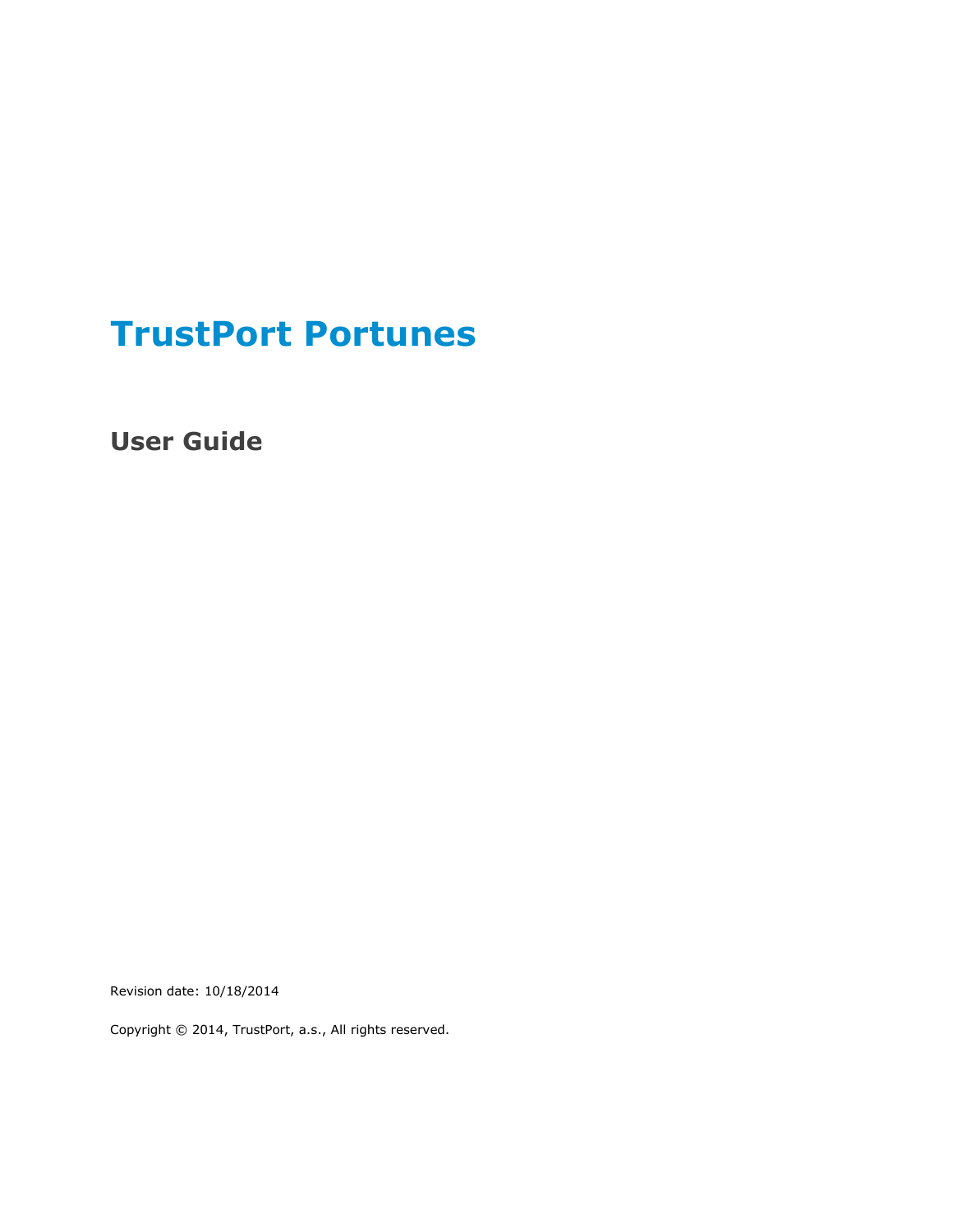# **TrustPort Portunes**

**User Guide**

Revision date: 10/18/2014

Copyright © 2014, TrustPort, a.s., All rights reserved.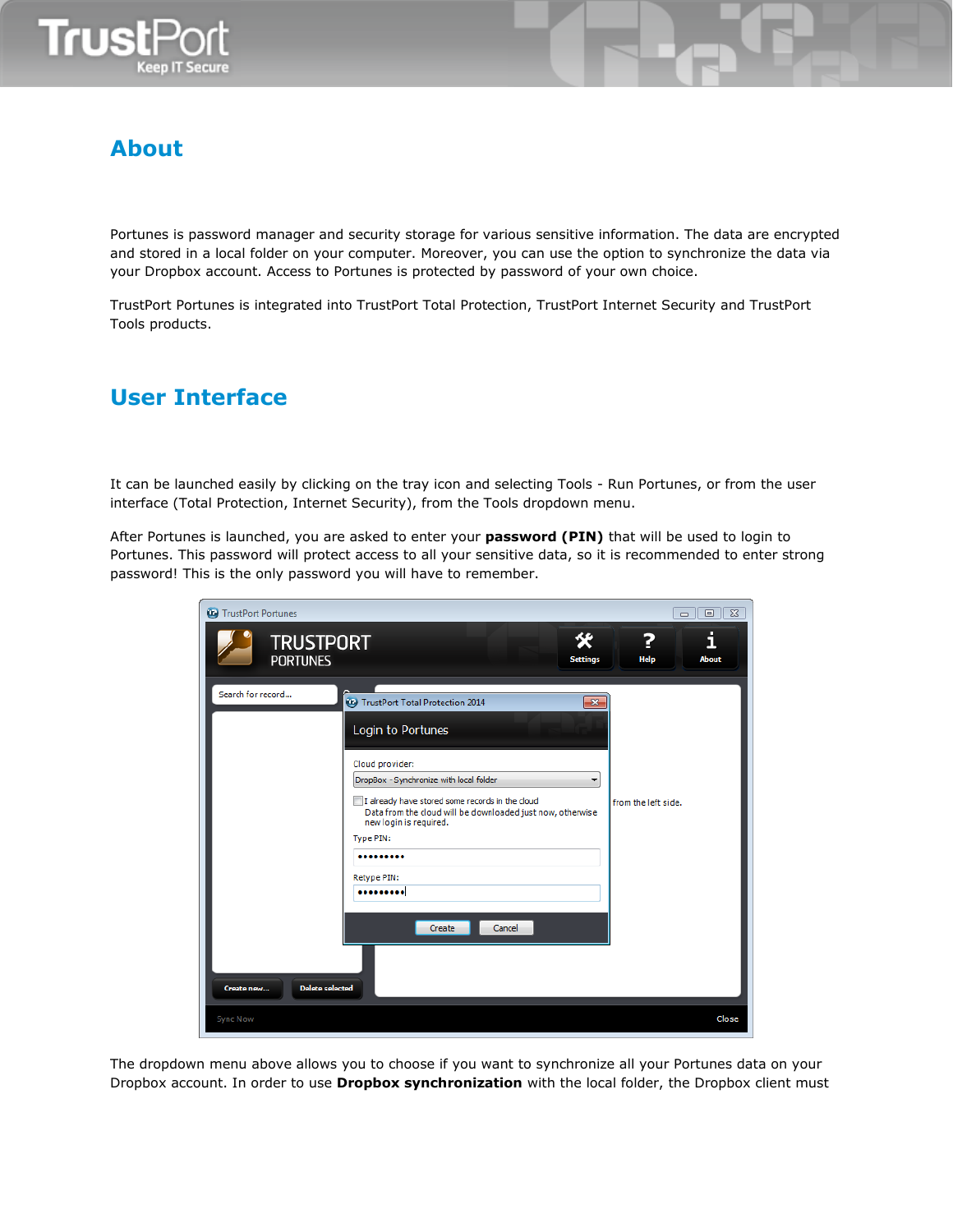

# **About**

Portunes is password manager and security storage for various sensitive information. The data are encrypted and stored in a local folder on your computer. Moreover, you can use the option to synchronize the data via your Dropbox account. Access to Portunes is protected by password of your own choice.

TrustPort Portunes is integrated into TrustPort Total Protection, TrustPort Internet Security and TrustPort Tools products.

## **User Interface**

It can be launched easily by clicking on the tray icon and selecting Tools - Run Portunes, or from the user interface (Total Protection, Internet Security), from the Tools dropdown menu.

After Portunes is launched, you are asked to enter your **password (PIN)** that will be used to login to Portunes. This password will protect access to all your sensitive data, so it is recommended to enter strong password! This is the only password you will have to remember.

| TrustPort Portunes                                                                                                                                                                                                                                                                                                                                                                                                      | $\Sigma$<br>$\Box$<br>$\Box$ |
|-------------------------------------------------------------------------------------------------------------------------------------------------------------------------------------------------------------------------------------------------------------------------------------------------------------------------------------------------------------------------------------------------------------------------|------------------------------|
| KB<br><b>TRUSTPORT</b><br><b>PORTUNES</b><br><b>Settings</b>                                                                                                                                                                                                                                                                                                                                                            | i<br>2<br>Help<br>About      |
| Search for record<br><b>Co</b> TrustPort Total Protection 2014<br>$\overline{\mathbf{x}}$<br>Login to Portunes<br>Cloud provider:<br>DropBox - Synchronize with local folder<br>I already have stored some records in the cloud<br>Data from the cloud will be downloaded just now, otherwise<br>new login is required.<br>Type PIN:<br><br>Retype PIN:<br><br>Cancel<br>Create<br><b>Delete selected</b><br>Create new | from the left side.          |
| <b>Sync Now</b>                                                                                                                                                                                                                                                                                                                                                                                                         | Close                        |

The dropdown menu above allows you to choose if you want to synchronize all your Portunes data on your Dropbox account. In order to use **Dropbox synchronization** with the local folder, the Dropbox client must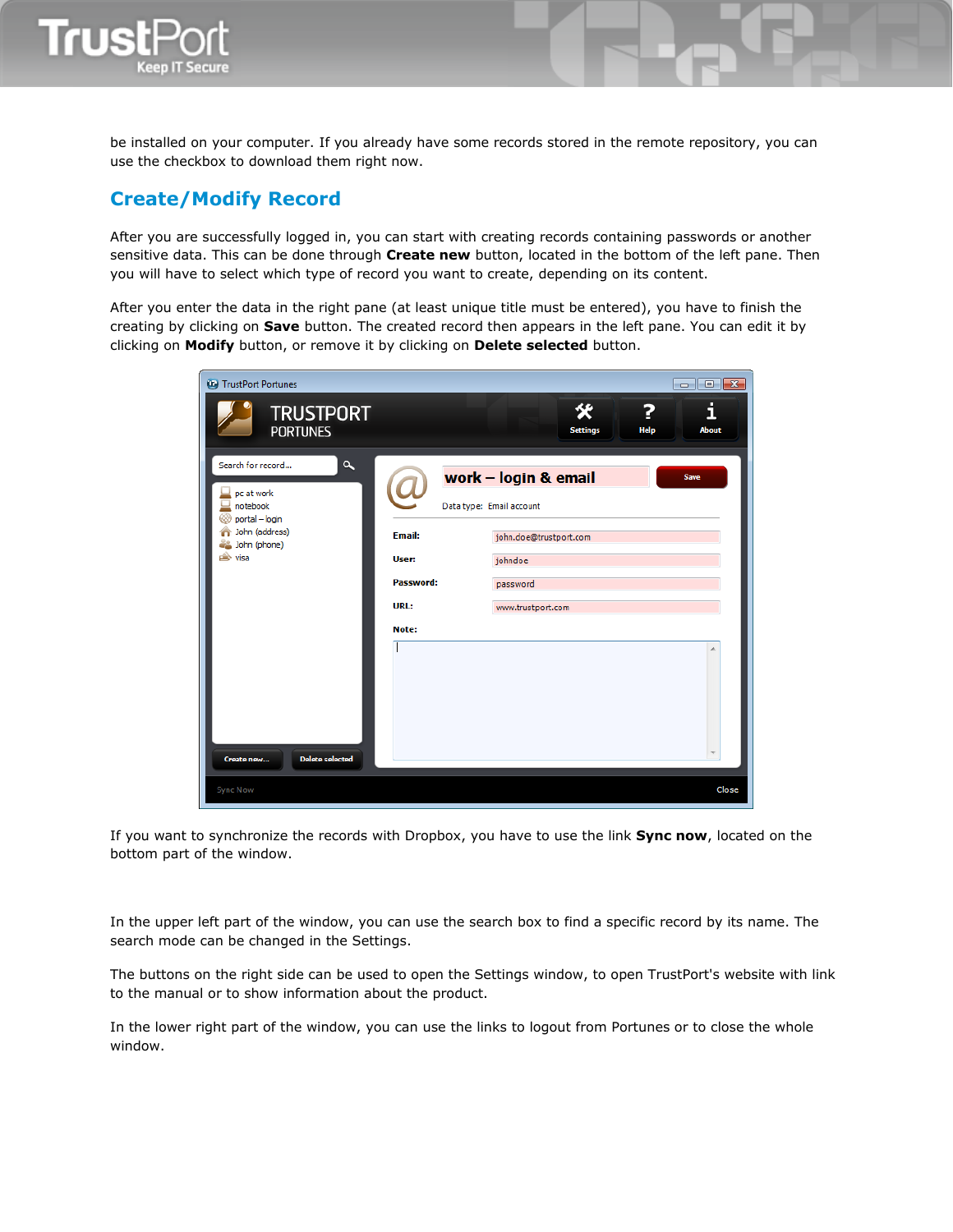

be installed on your computer. If you already have some records stored in the remote repository, you can use the checkbox to download them right now.

### **Create/Modify Record**

After you are successfully logged in, you can start with creating records containing passwords or another sensitive data. This can be done through **Create new** button, located in the bottom of the left pane. Then you will have to select which type of record you want to create, depending on its content.

After you enter the data in the right pane (at least unique title must be entered), you have to finish the creating by clicking on **Save** button. The created record then appears in the left pane. You can edit it by clicking on **Modify** button, or remove it by clicking on **Delete selected** button.

| TrustPort Portunes                                                        |                        |                                                  |                                |
|---------------------------------------------------------------------------|------------------------|--------------------------------------------------|--------------------------------|
| <b>TRUSTPORT</b><br><b>PORTUNES</b>                                       |                        | 父<br><b>Settings</b>                             | i<br>2<br><b>Help</b><br>About |
| $\alpha$<br>Search for record<br>pc at work<br>notebook<br>portal - login |                        | work - login & email<br>Data type: Email account | <b>Save</b>                    |
| John (address)<br>John (phone)<br>visa<br>é.                              | <b>Email:</b><br>User: | john.doe@trustport.com<br>johndoe                |                                |
|                                                                           | Password:              | password                                         |                                |
|                                                                           | URL:                   | www.trustport.com                                |                                |
|                                                                           | Note:                  |                                                  |                                |
| <b>Delete selected</b><br>Create new                                      |                        |                                                  |                                |
| <b>Sync Now</b>                                                           |                        |                                                  | Close                          |

If you want to synchronize the records with Dropbox, you have to use the link **Sync now**, located on the bottom part of the window.

In the upper left part of the window, you can use the search box to find a specific record by its name. The search mode can be changed in the Settings.

The buttons on the right side can be used to open the Settings window, to open TrustPort's website with link to the manual or to show information about the product.

In the lower right part of the window, you can use the links to logout from Portunes or to close the whole window.